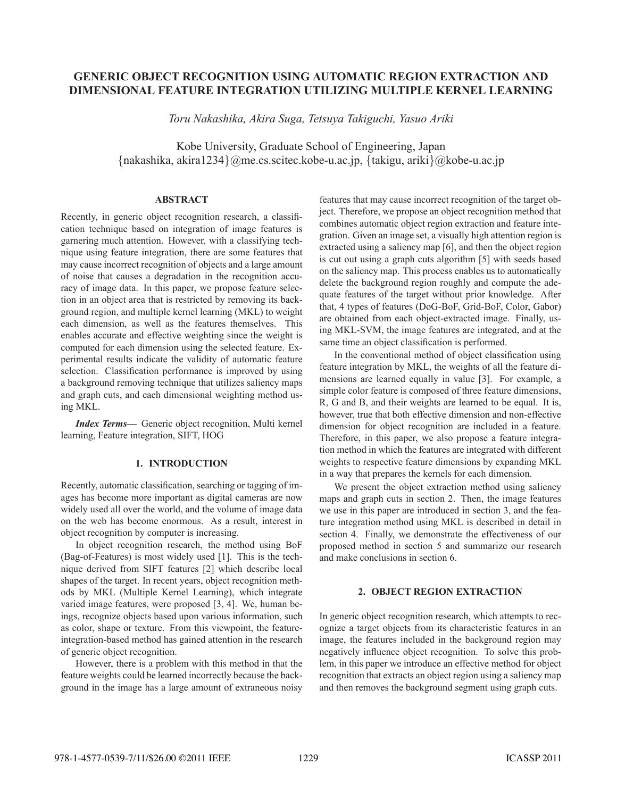# **GENERIC OBJECT RECOGNITION USING AUTOMATIC REGION EXTRACTION AND DIMENSIONAL FEATURE INTEGRATION UTILIZING MULTIPLE KERNEL LEARNING**

*Toru Nakashika, Akira Suga, Tetsuya Takiguchi, Yasuo Ariki*

Kobe University, Graduate School of Engineering, Japan {nakashika, akira1234}@me.cs.scitec.kobe-u.ac.jp, {takigu, ariki}@kobe-u.ac.jp

## **ABSTRACT**

Recently, in generic object recognition research, a classification technique based on integration of image features is garnering much attention. However, with a classifying technique using feature integration, there are some features that may cause incorrect recognition of objects and a large amount of noise that causes a degradation in the recognition accuracy of image data. In this paper, we propose feature selection in an object area that is restricted by removing its background region, and multiple kernel learning (MKL) to weight each dimension, as well as the features themselves. This enables accurate and effective weighting since the weight is computed for each dimension using the selected feature. Experimental results indicate the validity of automatic feature selection. Classification performance is improved by using a background removing technique that utilizes saliency maps and graph cuts, and each dimensional weighting method using MKL.

*Index Terms***—** Generic object recognition, Multi kernel learning, Feature integration, SIFT, HOG

### **1. INTRODUCTION**

Recently, automatic classification, searching or tagging of images has become more important as digital cameras are now widely used all over the world, and the volume of image data on the web has become enormous. As a result, interest in object recognition by computer is increasing.

In object recognition research, the method using BoF (Bag-of-Features) is most widely used [1]. This is the technique derived from SIFT features [2] which describe local shapes of the target. In recent years, object recognition methods by MKL (Multiple Kernel Learning), which integrate varied image features, were proposed [3, 4]. We, human beings, recognize objects based upon various information, such as color, shape or texture. From this viewpoint, the featureintegration-based method has gained attention in the research of generic object recognition.

However, there is a problem with this method in that the feature weights could be learned incorrectly because the background in the image has a large amount of extraneous noisy

features that may cause incorrect recognition of the target object. Therefore, we propose an object recognition method that combines automatic object region extraction and feature integration. Given an image set, a visually high attention region is extracted using a saliency map [6], and then the object region is cut out using a graph cuts algorithm [5] with seeds based on the saliency map. This process enables us to automatically delete the background region roughly and compute the adequate features of the target without prior knowledge. After that, 4 types of features (DoG-BoF, Grid-BoF, Color, Gabor) are obtained from each object-extracted image. Finally, using MKL-SVM, the image features are integrated, and at the same time an object classification is performed.

In the conventional method of object classification using feature integration by MKL, the weights of all the feature dimensions are learned equally in value [3]. For example, a simple color feature is composed of three feature dimensions, R, G and B, and their weights are learned to be equal. It is, however, true that both effective dimension and non-effective dimension for object recognition are included in a feature. Therefore, in this paper, we also propose a feature integration method in which the features are integrated with different weights to respective feature dimensions by expanding MKL in a way that prepares the kernels for each dimension.

We present the object extraction method using saliency maps and graph cuts in section 2. Then, the image features we use in this paper are introduced in section 3, and the feature integration method using MKL is described in detail in section 4. Finally, we demonstrate the effectiveness of our proposed method in section 5 and summarize our research and make conclusions in section 6.

### **2. OBJECT REGION EXTRACTION**

In generic object recognition research, which attempts to recognize a target objects from its characteristic features in an image, the features included in the background region may negatively influence object recognition. To solve this problem, in this paper we introduce an effective method for object recognition that extracts an object region using a saliency map and then removes the background segment using graph cuts.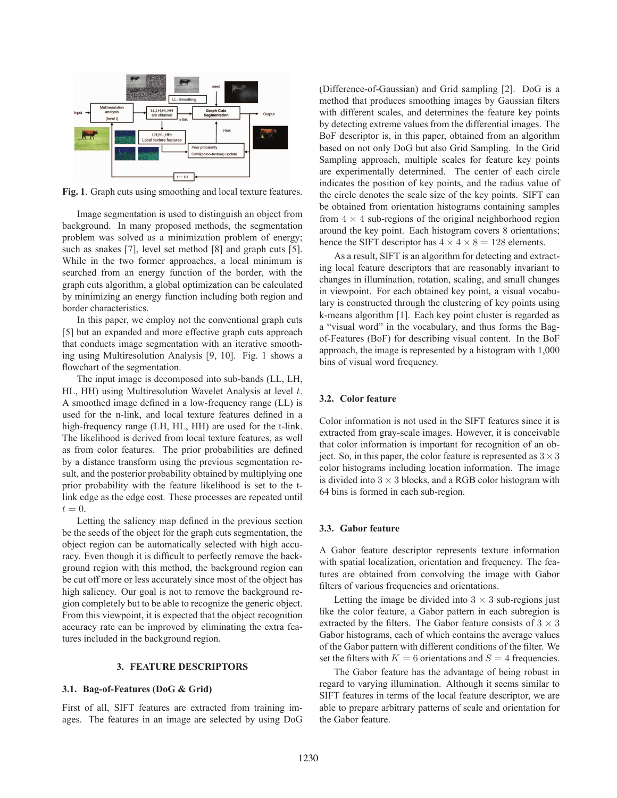

**Fig. 1**. Graph cuts using smoothing and local texture features.

Image segmentation is used to distinguish an object from background. In many proposed methods, the segmentation problem was solved as a minimization problem of energy; such as snakes [7], level set method [8] and graph cuts [5]. While in the two former approaches, a local minimum is searched from an energy function of the border, with the graph cuts algorithm, a global optimization can be calculated by minimizing an energy function including both region and border characteristics.

In this paper, we employ not the conventional graph cuts [5] but an expanded and more effective graph cuts approach that conducts image segmentation with an iterative smoothing using Multiresolution Analysis [9, 10]. Fig. 1 shows a flowchart of the segmentation.

The input image is decomposed into sub-bands (LL, LH, HL, HH) using Multiresolution Wavelet Analysis at level  $t$ . A smoothed image defined in a low-frequency range (LL) is used for the n-link, and local texture features defined in a high-frequency range (LH, HL, HH) are used for the t-link. The likelihood is derived from local texture features, as well as from color features. The prior probabilities are defined by a distance transform using the previous segmentation result, and the posterior probability obtained by multiplying one prior probability with the feature likelihood is set to the tlink edge as the edge cost. These processes are repeated until  $t = 0$ .

Letting the saliency map defined in the previous section be the seeds of the object for the graph cuts segmentation, the object region can be automatically selected with high accuracy. Even though it is difficult to perfectly remove the background region with this method, the background region can be cut off more or less accurately since most of the object has high saliency. Our goal is not to remove the background region completely but to be able to recognize the generic object. From this viewpoint, it is expected that the object recognition accuracy rate can be improved by eliminating the extra features included in the background region.

#### **3. FEATURE DESCRIPTORS**

### **3.1. Bag-of-Features (DoG & Grid)**

First of all, SIFT features are extracted from training images. The features in an image are selected by using DoG (Difference-of-Gaussian) and Grid sampling [2]. DoG is a method that produces smoothing images by Gaussian filters with different scales, and determines the feature key points by detecting extreme values from the differential images. The BoF descriptor is, in this paper, obtained from an algorithm based on not only DoG but also Grid Sampling. In the Grid Sampling approach, multiple scales for feature key points are experimentally determined. The center of each circle indicates the position of key points, and the radius value of the circle denotes the scale size of the key points. SIFT can be obtained from orientation histograms containing samples from  $4 \times 4$  sub-regions of the original neighborhood region around the key point. Each histogram covers 8 orientations; hence the SIFT descriptor has  $4 \times 4 \times 8 = 128$  elements.

As a result, SIFT is an algorithm for detecting and extracting local feature descriptors that are reasonably invariant to changes in illumination, rotation, scaling, and small changes in viewpoint. For each obtained key point, a visual vocabulary is constructed through the clustering of key points using k-means algorithm [1]. Each key point cluster is regarded as a "visual word" in the vocabulary, and thus forms the Bagof-Features (BoF) for describing visual content. In the BoF approach, the image is represented by a histogram with 1,000 bins of visual word frequency.

### **3.2. Color feature**

Color information is not used in the SIFT features since it is extracted from gray-scale images. However, it is conceivable that color information is important for recognition of an object. So, in this paper, the color feature is represented as  $3 \times 3$ color histograms including location information. The image is divided into  $3 \times 3$  blocks, and a RGB color histogram with 64 bins is formed in each sub-region.

### **3.3. Gabor feature**

A Gabor feature descriptor represents texture information with spatial localization, orientation and frequency. The features are obtained from convolving the image with Gabor filters of various frequencies and orientations.

Letting the image be divided into  $3 \times 3$  sub-regions just like the color feature, a Gabor pattern in each subregion is extracted by the filters. The Gabor feature consists of  $3 \times 3$ Gabor histograms, each of which contains the average values of the Gabor pattern with different conditions of the filter. We set the filters with  $K = 6$  orientations and  $S = 4$  frequencies.

The Gabor feature has the advantage of being robust in regard to varying illumination. Although it seems similar to SIFT features in terms of the local feature descriptor, we are able to prepare arbitrary patterns of scale and orientation for the Gabor feature.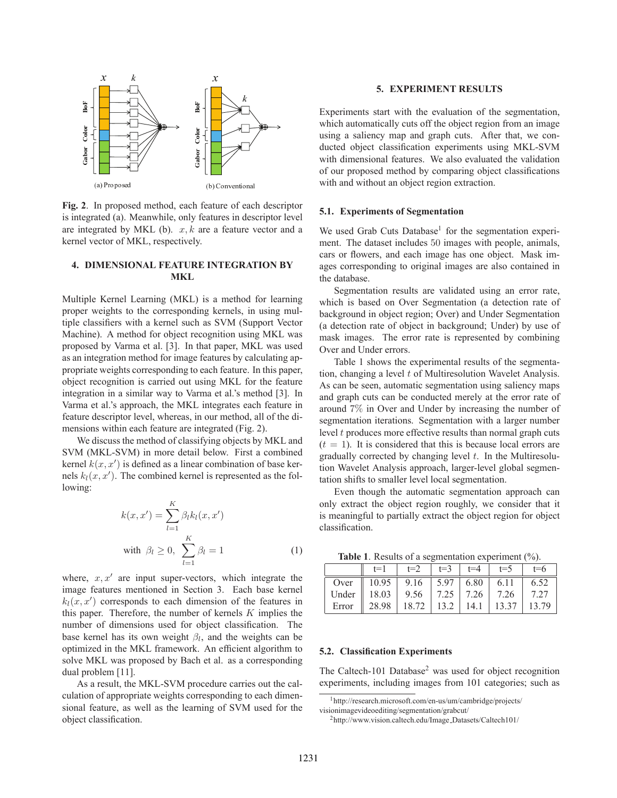

**Fig. 2**. In proposed method, each feature of each descriptor is integrated (a). Meanwhile, only features in descriptor level are integrated by MKL (b).  $x, k$  are a feature vector and a kernel vector of MKL, respectively.

# **4. DIMENSIONAL FEATURE INTEGRATION BY MKL**

Multiple Kernel Learning (MKL) is a method for learning proper weights to the corresponding kernels, in using multiple classifiers with a kernel such as SVM (Support Vector Machine). A method for object recognition using MKL was proposed by Varma et al. [3]. In that paper, MKL was used as an integration method for image features by calculating appropriate weights corresponding to each feature. In this paper, object recognition is carried out using MKL for the feature integration in a similar way to Varma et al.'s method [3]. In Varma et al.'s approach, the MKL integrates each feature in feature descriptor level, whereas, in our method, all of the dimensions within each feature are integrated (Fig. 2).

We discuss the method of classifying objects by MKL and SVM (MKL-SVM) in more detail below. First a combined kernel  $k(x, x')$  is defined as a linear combination of base kernels  $k_l(x, x')$ . The combined kernel is represented as the following:

$$
k(x, x') = \sum_{l=1}^{K} \beta_l k_l(x, x')
$$
  
with  $\beta_l \ge 0$ ,  $\sum_{l=1}^{K} \beta_l = 1$  (1)

where,  $x, x'$  are input super-vectors, which integrate the image features mentioned in Section 3. Each base kernel  $k_l(x, x')$  corresponds to each dimension of the features in this paper. Therefore, the number of kernels  $K$  implies the number of dimensions used for object classification. The base kernel has its own weight β*l*, and the weights can be optimized in the MKL framework. An efficient algorithm to solve MKL was proposed by Bach et al. as a corresponding dual problem [11].

As a result, the MKL-SVM procedure carries out the calculation of appropriate weights corresponding to each dimensional feature, as well as the learning of SVM used for the object classification.

# **5. EXPERIMENT RESULTS**

Experiments start with the evaluation of the segmentation, which automatically cuts off the object region from an image using a saliency map and graph cuts. After that, we conducted object classification experiments using MKL-SVM with dimensional features. We also evaluated the validation of our proposed method by comparing object classifications with and without an object region extraction.

### **5.1. Experiments of Segmentation**

We used Grab Cuts Database<sup>1</sup> for the segmentation experiment. The dataset includes 50 images with people, animals, cars or flowers, and each image has one object. Mask images corresponding to original images are also contained in the database.

Segmentation results are validated using an error rate, which is based on Over Segmentation (a detection rate of background in object region; Over) and Under Segmentation (a detection rate of object in background; Under) by use of mask images. The error rate is represented by combining Over and Under errors.

Table 1 shows the experimental results of the segmentation, changing a level t of Multiresolution Wavelet Analysis. As can be seen, automatic segmentation using saliency maps and graph cuts can be conducted merely at the error rate of around 7% in Over and Under by increasing the number of segmentation iterations. Segmentation with a larger number level  $t$  produces more effective results than normal graph cuts  $(t = 1)$ . It is considered that this is because local errors are gradually corrected by changing level  $t$ . In the Multiresolution Wavelet Analysis approach, larger-level global segmentation shifts to smaller level local segmentation.

Even though the automatic segmentation approach can only extract the object region roughly, we consider that it is meaningful to partially extract the object region for object classification.

**Table 1**. Results of a segmentation experiment  $\binom{0}{0}$ .

| <b>THEIR T.</b> INCREASED TO A SUMMODE CONSUMINATE (70). |                                                               |  |  |  |                         |         |
|----------------------------------------------------------|---------------------------------------------------------------|--|--|--|-------------------------|---------|
|                                                          | $t=1$                                                         |  |  |  | $t=2$ $t=3$ $t=4$ $t=5$ | $t=6$   |
|                                                          | Over $\parallel$ 10.95   9.16   5.97   6.80   6.11   6.52     |  |  |  |                         |         |
|                                                          | Under    18.03   9.56   7.25   7.26   7.26                    |  |  |  |                         | 1, 7.27 |
|                                                          | Error $\parallel$ 28.98   18.72   13.2   14.1   13.37   13.79 |  |  |  |                         |         |

#### **5.2. Classification Experiments**

The Caltech-101 Database<sup>2</sup> was used for object recognition experiments, including images from 101 categories; such as

<sup>1</sup>http://research.microsoft.com/en-us/um/cambridge/projects/ visionimagevideoediting/segmentation/grabcut/

<sup>2</sup>http://www.vision.caltech.edu/Image Datasets/Caltech101/